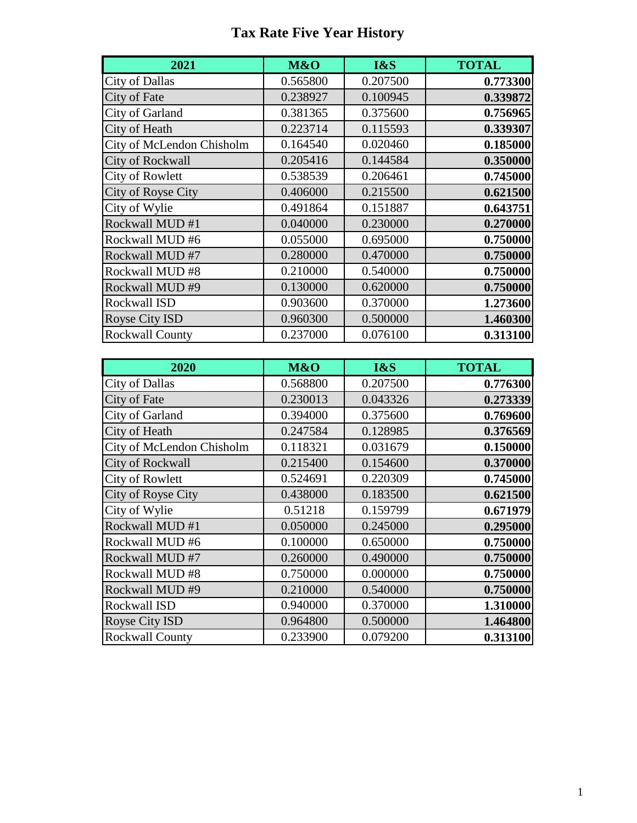## **Tax Rate Five Year History**

| 2021                      | M&O      | I&S      | <b>TOTAL</b> |
|---------------------------|----------|----------|--------------|
| <b>City of Dallas</b>     | 0.565800 | 0.207500 | 0.773300     |
| City of Fate              | 0.238927 | 0.100945 | 0.339872     |
| City of Garland           | 0.381365 | 0.375600 | 0.756965     |
| City of Heath             | 0.223714 | 0.115593 | 0.339307     |
| City of McLendon Chisholm | 0.164540 | 0.020460 | 0.185000     |
| <b>City of Rockwall</b>   | 0.205416 | 0.144584 | 0.350000     |
| <b>City of Rowlett</b>    | 0.538539 | 0.206461 | 0.745000     |
| City of Royse City        | 0.406000 | 0.215500 | 0.621500     |
| City of Wylie             | 0.491864 | 0.151887 | 0.643751     |
| Rockwall MUD #1           | 0.040000 | 0.230000 | 0.270000     |
| Rockwall MUD #6           | 0.055000 | 0.695000 | 0.750000     |
| Rockwall MUD #7           | 0.280000 | 0.470000 | 0.750000     |
| Rockwall MUD#8            | 0.210000 | 0.540000 | 0.750000     |
| Rockwall MUD #9           | 0.130000 | 0.620000 | 0.750000     |
| Rockwall ISD              | 0.903600 | 0.370000 | 1.273600     |
| <b>Royse City ISD</b>     | 0.960300 | 0.500000 | 1.460300     |
| <b>Rockwall County</b>    | 0.237000 | 0.076100 | 0.313100     |

| 2020                      | M&O      | I&S      | <b>TOTAL</b> |
|---------------------------|----------|----------|--------------|
| <b>City of Dallas</b>     | 0.568800 | 0.207500 | 0.776300     |
| City of Fate              | 0.230013 | 0.043326 | 0.273339     |
| City of Garland           | 0.394000 | 0.375600 | 0.769600     |
| City of Heath             | 0.247584 | 0.128985 | 0.376569     |
| City of McLendon Chisholm | 0.118321 | 0.031679 | 0.150000     |
| City of Rockwall          | 0.215400 | 0.154600 | 0.370000     |
| <b>City of Rowlett</b>    | 0.524691 | 0.220309 | 0.745000     |
| City of Royse City        | 0.438000 | 0.183500 | 0.621500     |
| City of Wylie             | 0.51218  | 0.159799 | 0.671979     |
| Rockwall MUD #1           | 0.050000 | 0.245000 | 0.295000     |
| Rockwall MUD #6           | 0.100000 | 0.650000 | 0.750000     |
| Rockwall MUD #7           | 0.260000 | 0.490000 | 0.750000     |
| Rockwall MUD #8           | 0.750000 | 0.000000 | 0.750000     |
| Rockwall MUD #9           | 0.210000 | 0.540000 | 0.750000     |
| Rockwall ISD              | 0.940000 | 0.370000 | 1.310000     |
| Royse City ISD            | 0.964800 | 0.500000 | 1.464800     |
| <b>Rockwall County</b>    | 0.233900 | 0.079200 | 0.313100     |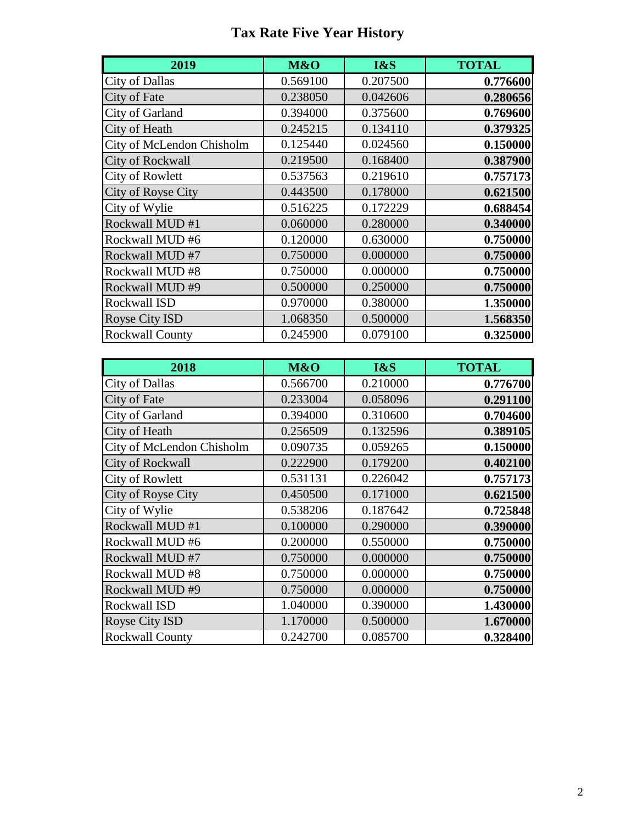## **Tax Rate Five Year History**

| 2019                      | M&O      | I&S      | <b>TOTAL</b> |
|---------------------------|----------|----------|--------------|
| <b>City of Dallas</b>     | 0.569100 | 0.207500 | 0.776600     |
| City of Fate              | 0.238050 | 0.042606 | 0.280656     |
| City of Garland           | 0.394000 | 0.375600 | 0.769600     |
| City of Heath             | 0.245215 | 0.134110 | 0.379325     |
| City of McLendon Chisholm | 0.125440 | 0.024560 | 0.150000     |
| <b>City of Rockwall</b>   | 0.219500 | 0.168400 | 0.387900     |
| <b>City of Rowlett</b>    | 0.537563 | 0.219610 | 0.757173     |
| City of Royse City        | 0.443500 | 0.178000 | 0.621500     |
| City of Wylie             | 0.516225 | 0.172229 | 0.688454     |
| Rockwall MUD #1           | 0.060000 | 0.280000 | 0.340000     |
| Rockwall MUD #6           | 0.120000 | 0.630000 | 0.750000     |
| Rockwall MUD #7           | 0.750000 | 0.000000 | 0.750000     |
| Rockwall MUD#8            | 0.750000 | 0.000000 | 0.750000     |
| Rockwall MUD #9           | 0.500000 | 0.250000 | 0.750000     |
| Rockwall ISD              | 0.970000 | 0.380000 | 1.350000     |
| <b>Royse City ISD</b>     | 1.068350 | 0.500000 | 1.568350     |
| <b>Rockwall County</b>    | 0.245900 | 0.079100 | 0.325000     |

| 2018                      | M&O      | I&S      | <b>TOTAL</b> |
|---------------------------|----------|----------|--------------|
| <b>City of Dallas</b>     | 0.566700 | 0.210000 | 0.776700     |
| City of Fate              | 0.233004 | 0.058096 | 0.291100     |
| City of Garland           | 0.394000 | 0.310600 | 0.704600     |
| City of Heath             | 0.256509 | 0.132596 | 0.389105     |
| City of McLendon Chisholm | 0.090735 | 0.059265 | 0.150000     |
| <b>City of Rockwall</b>   | 0.222900 | 0.179200 | 0.402100     |
| <b>City of Rowlett</b>    | 0.531131 | 0.226042 | 0.757173     |
| City of Royse City        | 0.450500 | 0.171000 | 0.621500     |
| City of Wylie             | 0.538206 | 0.187642 | 0.725848     |
| Rockwall MUD #1           | 0.100000 | 0.290000 | 0.390000     |
| Rockwall MUD #6           | 0.200000 | 0.550000 | 0.750000     |
| Rockwall MUD #7           | 0.750000 | 0.000000 | 0.750000     |
| Rockwall MUD #8           | 0.750000 | 0.000000 | 0.750000     |
| Rockwall MUD #9           | 0.750000 | 0.000000 | 0.750000     |
| Rockwall ISD              | 1.040000 | 0.390000 | 1.430000     |
| Royse City ISD            | 1.170000 | 0.500000 | 1.670000     |
| <b>Rockwall County</b>    | 0.242700 | 0.085700 | 0.328400     |